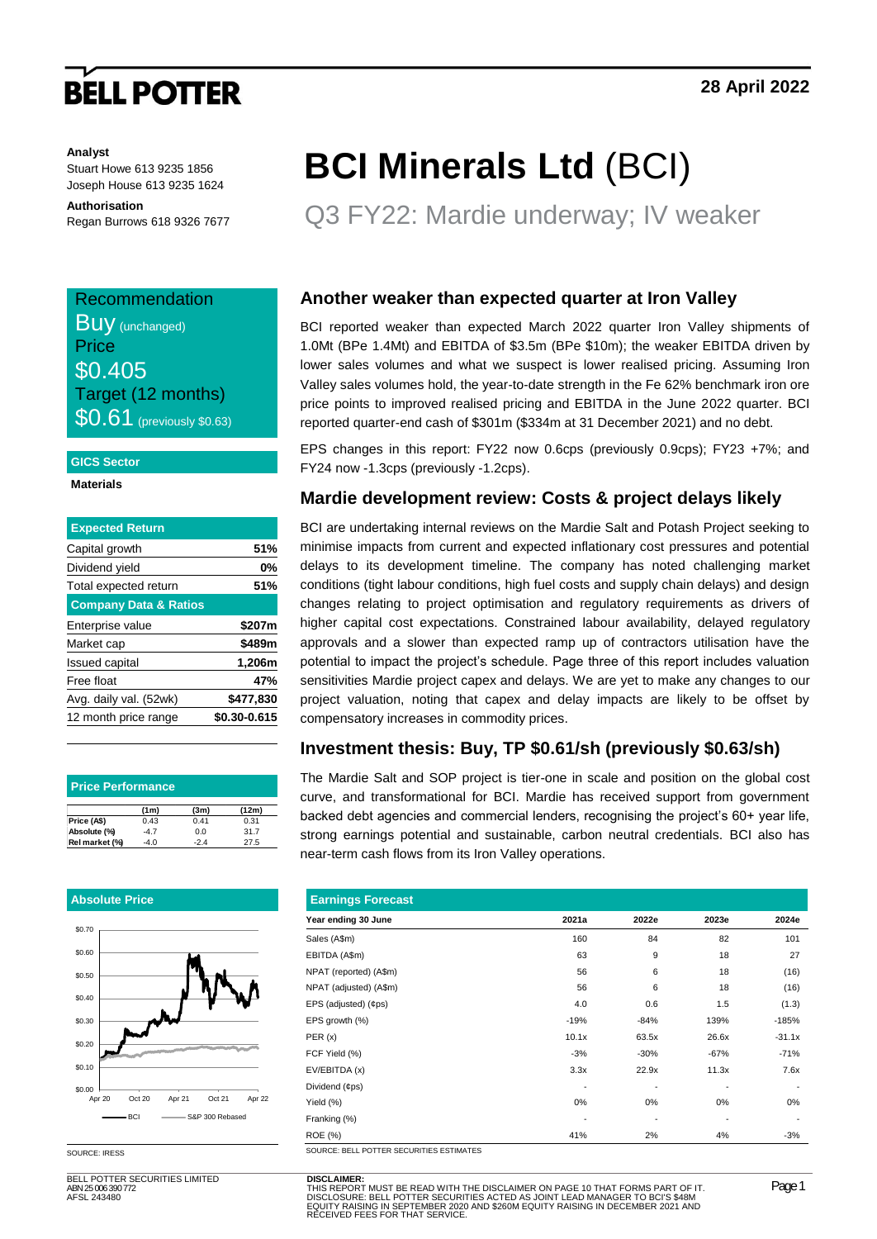## **BELL POTTER**

#### **Analyst**

Stuart Howe 613 9235 1856 Joseph House 613 9235 1624

**Authorisation** Regan Burrows 618 9326 7677

### Recommendation **Buy** (unchanged) **Price** \$0.405 Target (12 months) **\$0.61** (previously \$0.63)

#### **GICS Sector**

**Materials**

| <b>Expected Return</b>           |              |
|----------------------------------|--------------|
| Capital growth                   | 51%          |
| Dividend yield                   | 0%           |
| Total expected return            | 51%          |
| <b>Company Data &amp; Ratios</b> |              |
| Enterprise value                 | \$207m       |
| Market cap                       | \$489m       |
| <b>Issued capital</b>            | 1,206m       |
| Free float                       | 47%          |
| Avg. daily val. (52wk)           | \$477.830    |
| 12 month price range             | \$0.30-0.615 |
|                                  |              |

| <b>Price Performance</b> |        |       |       |  |  |  |  |  |  |
|--------------------------|--------|-------|-------|--|--|--|--|--|--|
|                          | (1m)   | (3m)  | (12m) |  |  |  |  |  |  |
| Price (A\$)              | 0.43   | 0.41  | 0.31  |  |  |  |  |  |  |
| Absolute (%)             | $-4.7$ | 0.0   | 31.7  |  |  |  |  |  |  |
| Rel market (%)           | -4 በ   | $-24$ | 27.5  |  |  |  |  |  |  |

#### **Absolute Price**



SOURCE: IRESS

BELL POTTER SECURITIES LIMITED ABN 25 006 390 772 AFSL 243480

# **BCI Minerals Ltd** (BCI)

Q3 FY22: Mardie underway; IV weaker

### **Another weaker than expected quarter at Iron Valley**

BCI reported weaker than expected March 2022 quarter Iron Valley shipments of 1.0Mt (BPe 1.4Mt) and EBITDA of \$3.5m (BPe \$10m); the weaker EBITDA driven by lower sales volumes and what we suspect is lower realised pricing. Assuming Iron Valley sales volumes hold, the year-to-date strength in the Fe 62% benchmark iron ore price points to improved realised pricing and EBITDA in the June 2022 quarter. BCI reported quarter-end cash of \$301m (\$334m at 31 December 2021) and no debt.

EPS changes in this report: FY22 now 0.6cps (previously 0.9cps); FY23 +7%; and FY24 now -1.3cps (previously -1.2cps).

### **Mardie development review: Costs & project delays likely**

BCI are undertaking internal reviews on the Mardie Salt and Potash Project seeking to minimise impacts from current and expected inflationary cost pressures and potential delays to its development timeline. The company has noted challenging market conditions (tight labour conditions, high fuel costs and supply chain delays) and design changes relating to project optimisation and regulatory requirements as drivers of higher capital cost expectations. Constrained labour availability, delayed regulatory approvals and a slower than expected ramp up of contractors utilisation have the potential to impact the project's schedule. Page three of this report includes valuation sensitivities Mardie project capex and delays. We are yet to make any changes to our project valuation, noting that capex and delay impacts are likely to be offset by compensatory increases in commodity prices.

### **Investment thesis: Buy, TP \$0.61/sh (previously \$0.63/sh)**

The Mardie Salt and SOP project is tier-one in scale and position on the global cost curve, and transformational for BCI. Mardie has received support from government backed debt agencies and commercial lenders, recognising the project's 60+ year life, strong earnings potential and sustainable, carbon neutral credentials. BCI also has near-term cash flows from its Iron Valley operations.

| <b>Earnings Forecast</b>                 |                          |        |        |          |  |  |  |  |  |  |  |
|------------------------------------------|--------------------------|--------|--------|----------|--|--|--|--|--|--|--|
| Year ending 30 June                      | 2021a                    | 2022e  | 2023e  | 2024e    |  |  |  |  |  |  |  |
| Sales (A\$m)                             | 160                      | 84     | 82     | 101      |  |  |  |  |  |  |  |
| EBITDA (A\$m)                            | 63                       | 9      | 18     | 27       |  |  |  |  |  |  |  |
| NPAT (reported) (A\$m)                   | 56                       | 6      | 18     | (16)     |  |  |  |  |  |  |  |
| NPAT (adjusted) (A\$m)                   | 56                       | 6      | 18     | (16)     |  |  |  |  |  |  |  |
| EPS (adjusted) (¢ps)                     | 4.0                      | 0.6    | 1.5    | (1.3)    |  |  |  |  |  |  |  |
| EPS growth (%)                           | $-19%$                   | $-84%$ | 139%   | $-185%$  |  |  |  |  |  |  |  |
| PER(x)                                   | 10.1x                    | 63.5x  | 26.6x  | $-31.1x$ |  |  |  |  |  |  |  |
| FCF Yield (%)                            | $-3%$                    | $-30%$ | $-67%$ | $-71%$   |  |  |  |  |  |  |  |
| EV/EBITDA (x)                            | 3.3x                     | 22.9x  | 11.3x  | 7.6x     |  |  |  |  |  |  |  |
| Dividend (¢ps)                           |                          | ٠      |        |          |  |  |  |  |  |  |  |
| Yield (%)                                | 0%                       | 0%     | 0%     | 0%       |  |  |  |  |  |  |  |
| Franking (%)                             | $\overline{\phantom{a}}$ | -      |        |          |  |  |  |  |  |  |  |
| <b>ROE</b> (%)                           | 41%                      | 2%     | 4%     | $-3%$    |  |  |  |  |  |  |  |
| SOURCE: BELL POTTER SECURITIES ESTIMATES |                          |        |        |          |  |  |  |  |  |  |  |

**DISCLAIMER:**<br>THIS REPORT MUST BE READ WITH THE DISCLAIMER ON PAGE 10 THAT FORMS PART OF IT.<br>DISCLOSURE: BELL POTTER SECURITIES ACTED AS JOINT LEAD MANAGER TO BCI'S \$48M<br>EQUITY RAISING IN SEPTEMBER 2020 AND \$260M EQUITY RA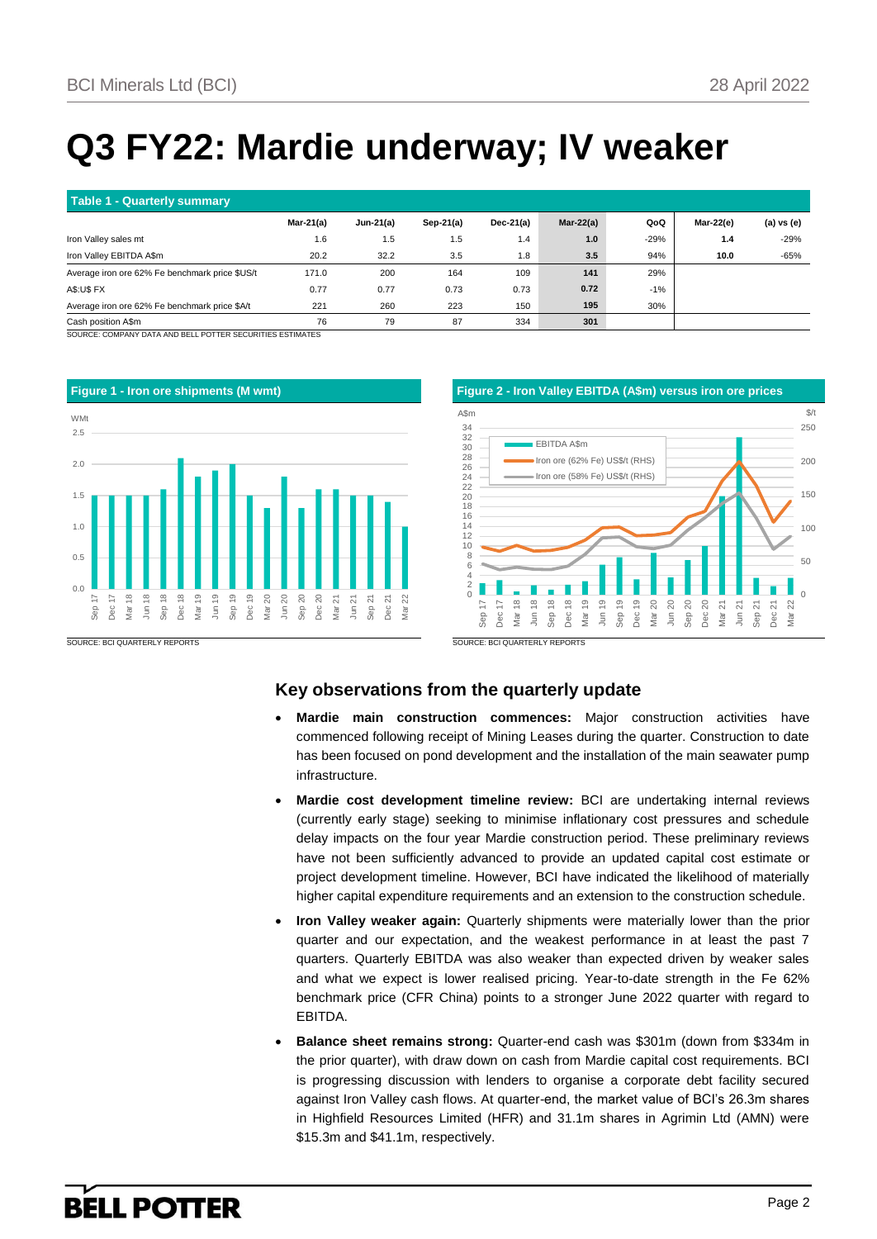## **Q3 FY22: Mardie underway; IV weaker**

| Table 1 - Quarterly summary                    |           |              |              |              |              |        |           |            |  |
|------------------------------------------------|-----------|--------------|--------------|--------------|--------------|--------|-----------|------------|--|
|                                                | Mar-21(a) | Jun-21 $(a)$ | Sep-21 $(a)$ | Dec-21 $(a)$ | Mar-22 $(a)$ | QoQ    | Mar-22(e) | (a) vs (e) |  |
| Iron Valley sales mt                           | 1.6       | 1.5          | l.5          | 1.4          | 1.0          | $-29%$ | 1.4       | $-29%$     |  |
| Iron Valley EBITDA A\$m                        | 20.2      | 32.2         | 3.5          | 1.8          | 3.5          | 94%    | 10.0      | $-65%$     |  |
| Average iron ore 62% Fe benchmark price \$US/t | 171.0     | 200          | 164          | 109          | 141          | 29%    |           |            |  |
| <b>A\$:U\$ FX</b>                              | 0.77      | 0.77         | 0.73         | 0.73         | 0.72         | $-1%$  |           |            |  |
| Average iron ore 62% Fe benchmark price \$A/t  | 221       | 260          | 223          | 150          | 195          | 30%    |           |            |  |
| Cash position A\$m                             | 76        | 79           | 87           | 334          | 301          |        |           |            |  |

RCE: COMPANY DATA AND BELL POTTER SECURITIES ESTIMATES



### **Key observations from the quarterly update**

- **Mardie main construction commences:** Major construction activities have commenced following receipt of Mining Leases during the quarter. Construction to date has been focused on pond development and the installation of the main seawater pump infrastructure.
- **Mardie cost development timeline review:** BCI are undertaking internal reviews (currently early stage) seeking to minimise inflationary cost pressures and schedule delay impacts on the four year Mardie construction period. These preliminary reviews have not been sufficiently advanced to provide an updated capital cost estimate or project development timeline. However, BCI have indicated the likelihood of materially higher capital expenditure requirements and an extension to the construction schedule.
- **Iron Valley weaker again:** Quarterly shipments were materially lower than the prior quarter and our expectation, and the weakest performance in at least the past 7 quarters. Quarterly EBITDA was also weaker than expected driven by weaker sales and what we expect is lower realised pricing. Year-to-date strength in the Fe 62% benchmark price (CFR China) points to a stronger June 2022 quarter with regard to EBITDA.
- **Balance sheet remains strong:** Quarter-end cash was \$301m (down from \$334m in the prior quarter), with draw down on cash from Mardie capital cost requirements. BCI is progressing discussion with lenders to organise a corporate debt facility secured against Iron Valley cash flows. At quarter-end, the market value of BCI's 26.3m shares in Highfield Resources Limited (HFR) and 31.1m shares in Agrimin Ltd (AMN) were \$15.3m and \$41.1m, respectively.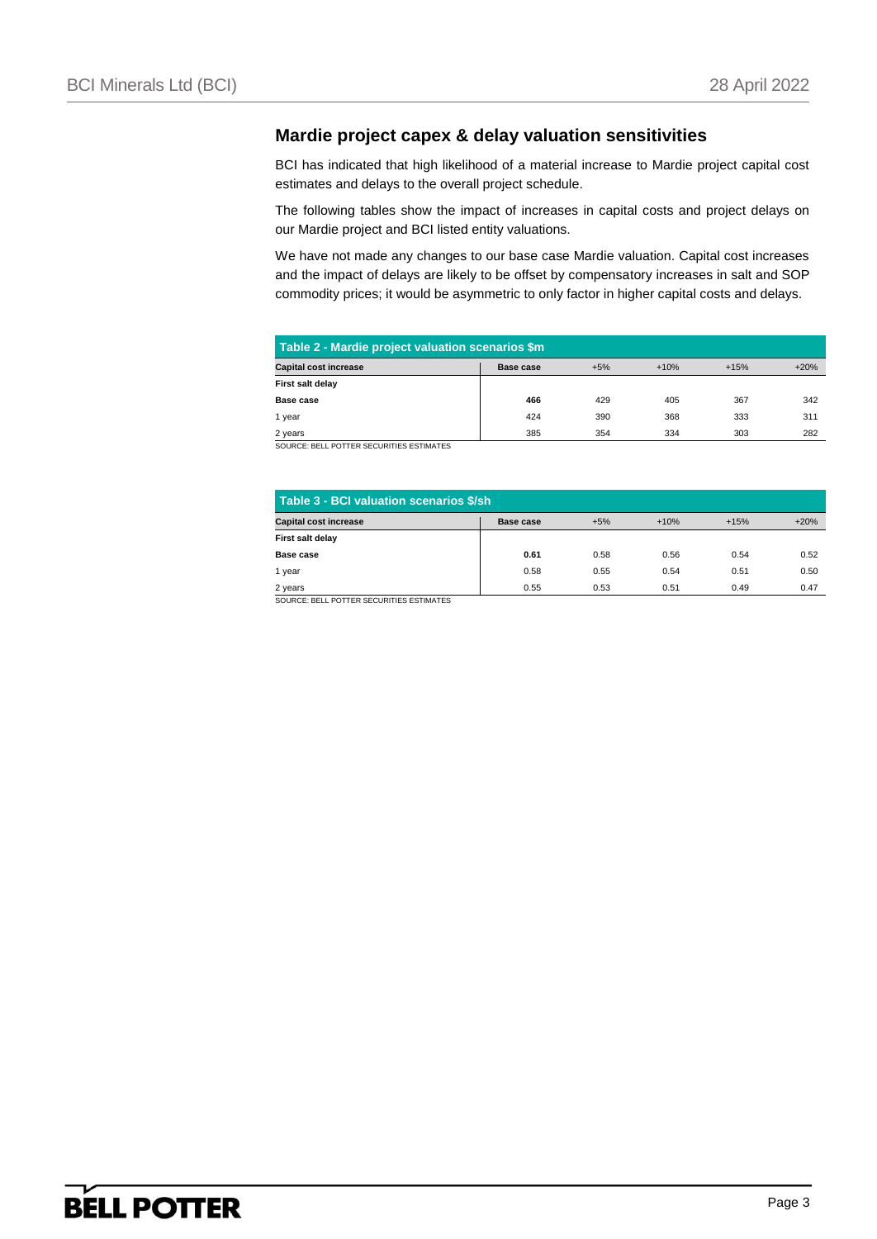### **Mardie project capex & delay valuation sensitivities**

BCI has indicated that high likelihood of a material increase to Mardie project capital cost estimates and delays to the overall project schedule.

The following tables show the impact of increases in capital costs and project delays on our Mardie project and BCI listed entity valuations.

We have not made any changes to our base case Mardie valuation. Capital cost increases and the impact of delays are likely to be offset by compensatory increases in salt and SOP commodity prices; it would be asymmetric to only factor in higher capital costs and delays.

| Table 2 - Mardie project valuation scenarios \$m                                       |     |     |     |     |     |  |  |  |  |  |  |
|----------------------------------------------------------------------------------------|-----|-----|-----|-----|-----|--|--|--|--|--|--|
| <b>Capital cost increase</b><br>$+5%$<br>$+10%$<br>$+20%$<br>$+15%$<br>Base case       |     |     |     |     |     |  |  |  |  |  |  |
| First salt delay                                                                       |     |     |     |     |     |  |  |  |  |  |  |
| Base case                                                                              | 466 | 429 | 405 | 367 | 342 |  |  |  |  |  |  |
| 1 year                                                                                 | 424 | 390 | 368 | 333 | 311 |  |  |  |  |  |  |
| 385<br>303<br>334<br>354<br>282<br>2 years<br>COUDCE, DELL DOTTED CECUDITIES ESTIMATES |     |     |     |     |     |  |  |  |  |  |  |

CE: BELL POTTER SECURITIES ESTIMATES

| Table 3 - BCI valuation scenarios \$/sh                                          |      |      |      |      |      |  |  |  |  |  |  |
|----------------------------------------------------------------------------------|------|------|------|------|------|--|--|--|--|--|--|
| <b>Capital cost increase</b><br>$+20%$<br>$+5%$<br>$+10%$<br>$+15%$<br>Base case |      |      |      |      |      |  |  |  |  |  |  |
| First salt delay                                                                 |      |      |      |      |      |  |  |  |  |  |  |
| Base case                                                                        | 0.61 | 0.58 | 0.56 | 0.54 | 0.52 |  |  |  |  |  |  |
| 1 year                                                                           | 0.58 | 0.55 | 0.54 | 0.51 | 0.50 |  |  |  |  |  |  |
| 0.55<br>0.53<br>0.51<br>0.47<br>0.49<br>2 years                                  |      |      |      |      |      |  |  |  |  |  |  |
| SOURCE: BELL POTTER SECURITIES ESTIMATES                                         |      |      |      |      |      |  |  |  |  |  |  |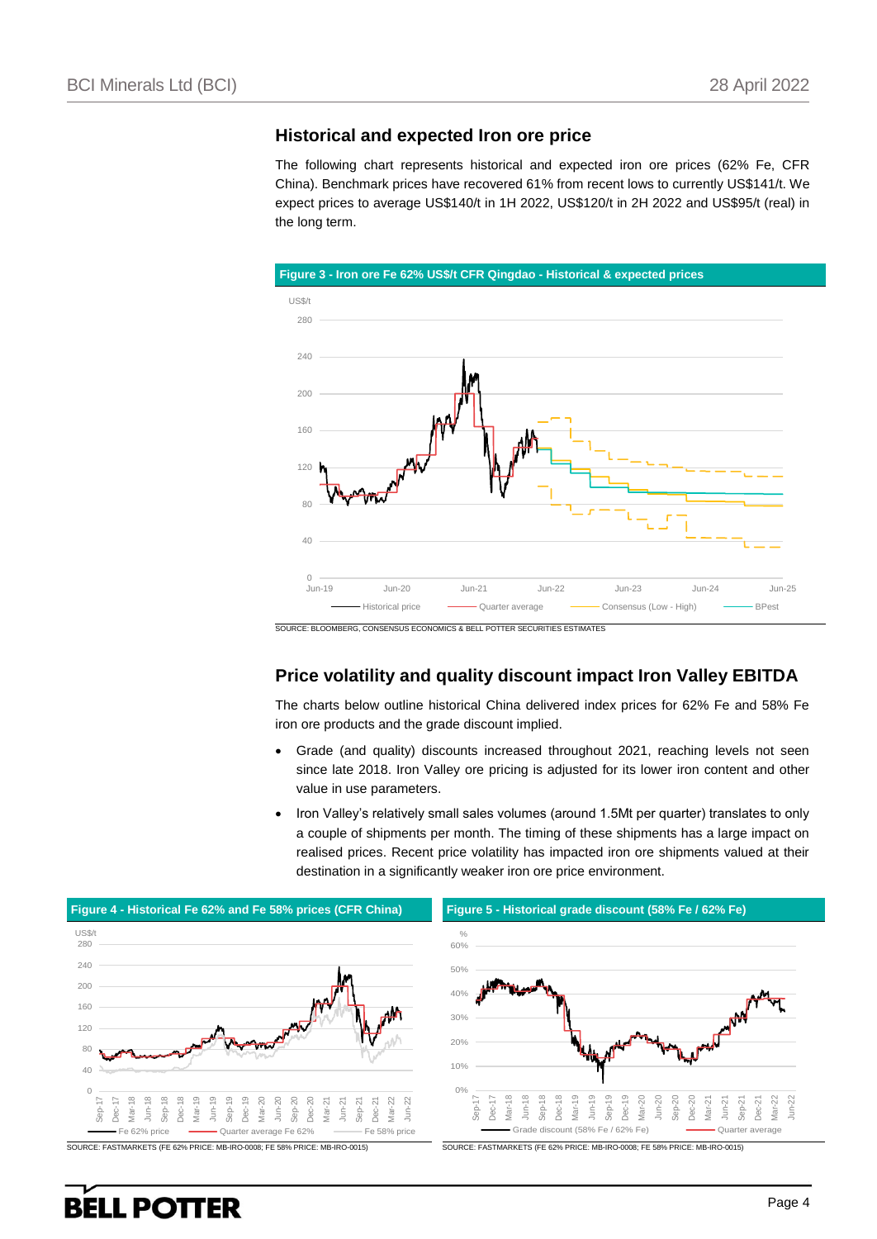#### **Historical and expected Iron ore price**

The following chart represents historical and expected iron ore prices (62% Fe, CFR China). Benchmark prices have recovered 61% from recent lows to currently US\$141/t. We expect prices to average US\$140/t in 1H 2022, US\$120/t in 2H 2022 and US\$95/t (real) in the long term.



SOURCE: BLOOMBERG, CONSENSUS ECONOMICS & BELL POTTER SECURITIES ESTIMATES

### **Price volatility and quality discount impact Iron Valley EBITDA**

The charts below outline historical China delivered index prices for 62% Fe and 58% Fe iron ore products and the grade discount implied.

- Grade (and quality) discounts increased throughout 2021, reaching levels not seen since late 2018. Iron Valley ore pricing is adjusted for its lower iron content and other value in use parameters.
- Iron Valley's relatively small sales volumes (around 1.5Mt per quarter) translates to only a couple of shipments per month. The timing of these shipments has a large impact on realised prices. Recent price volatility has impacted iron ore shipments valued at their destination in a significantly weaker iron ore price environment.

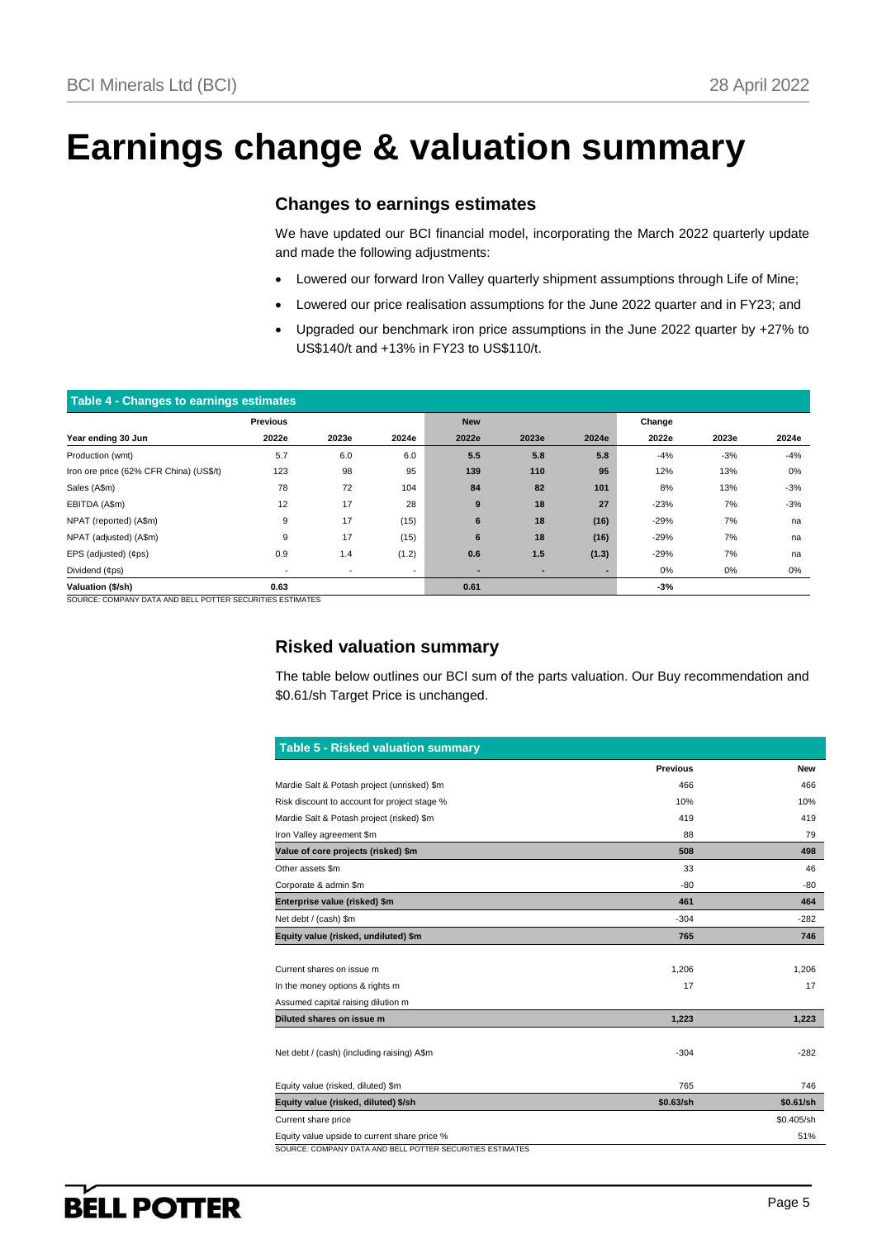## **Earnings change & valuation summary**

### **Changes to earnings estimates**

We have updated our BCI financial model, incorporating the March 2022 quarterly update and made the following adjustments:

- Lowered our forward Iron Valley quarterly shipment assumptions through Life of Mine;
- Lowered our price realisation assumptions for the June 2022 quarter and in FY23; and
- Upgraded our benchmark iron price assumptions in the June 2022 quarter by +27% to US\$140/t and +13% in FY23 to US\$110/t.

| Table 4 - Changes to earnings estimates |                          |                          |                          |            |       |       |        |       |       |
|-----------------------------------------|--------------------------|--------------------------|--------------------------|------------|-------|-------|--------|-------|-------|
|                                         | <b>Previous</b>          |                          |                          | <b>New</b> |       |       | Change |       |       |
| Year ending 30 Jun                      | 2022e                    | 2023e                    | 2024e                    | 2022e      | 2023e | 2024e | 2022e  | 2023e | 2024e |
| Production (wmt)                        | 5.7                      | 6.0                      | 6.0                      | 5.5        | 5.8   | 5.8   | $-4%$  | $-3%$ | $-4%$ |
| Iron ore price (62% CFR China) (US\$/t) | 123                      | 98                       | 95                       | 139        | 110   | 95    | 12%    | 13%   | 0%    |
| Sales (A\$m)                            | 78                       | 72                       | 104                      | 84         | 82    | 101   | 8%     | 13%   | $-3%$ |
| EBITDA (A\$m)                           | 12                       | 17                       | 28                       | 9          | 18    | 27    | $-23%$ | 7%    | $-3%$ |
| NPAT (reported) (A\$m)                  | 9                        | 17                       | (15)                     | 6          | 18    | (16)  | $-29%$ | 7%    | na    |
| NPAT (adjusted) (A\$m)                  | 9                        | 17                       | (15)                     | 6          | 18    | (16)  | $-29%$ | 7%    | na    |
| EPS (adjusted) (¢ps)                    | 0.9                      | 1.4                      | (1.2)                    | 0.6        | 1.5   | (1.3) | $-29%$ | 7%    | na    |
| Dividend (¢ps)                          | $\overline{\phantom{a}}$ | $\overline{\phantom{a}}$ | $\overline{\phantom{a}}$ | ٠          | ٠     |       | 0%     | 0%    | 0%    |
| Valuation (\$/sh)                       | 0.63                     |                          |                          | 0.61       |       |       | $-3%$  |       |       |

SOURCE: COMPANY DATA AND BELL POTTER SECURITIES ESTIMATES

### **Risked valuation summary**

The table below outlines our BCI sum of the parts valuation. Our Buy recommendation and \$0.61/sh Target Price is unchanged.

|                                              | <b>Previous</b> | <b>New</b> |
|----------------------------------------------|-----------------|------------|
| Mardie Salt & Potash project (unrisked) \$m  | 466             | 466        |
| Risk discount to account for project stage % | 10%             | 10%        |
| Mardie Salt & Potash project (risked) \$m    | 419             | 419        |
| Iron Valley agreement \$m                    | 88              | 79         |
| Value of core projects (risked) \$m          | 508             | 498        |
| Other assets \$m                             | 33              | 46         |
| Corporate & admin \$m                        | $-80$           | -80        |
| Enterprise value (risked) \$m                | 461             | 464        |
| Net debt / (cash) \$m                        | $-304$          | $-282$     |
| Equity value (risked, undiluted) \$m         | 765             | 746        |
|                                              |                 |            |
| Current shares on issue m                    | 1,206           | 1.206      |
| In the money options & rights m              | 17              | 17         |
| Assumed capital raising dilution m           |                 |            |
| Diluted shares on issue m                    | 1,223           | 1,223      |
|                                              |                 |            |
| Net debt / (cash) (including raising) A\$m   | $-304$          | $-282$     |
|                                              |                 |            |
| Equity value (risked, diluted) \$m           | 765             | 746        |
| Equity value (risked, diluted) \$/sh         | \$0.63/sh       | \$0.61/sh  |
|                                              |                 |            |
| Current share price                          |                 | \$0.405/sh |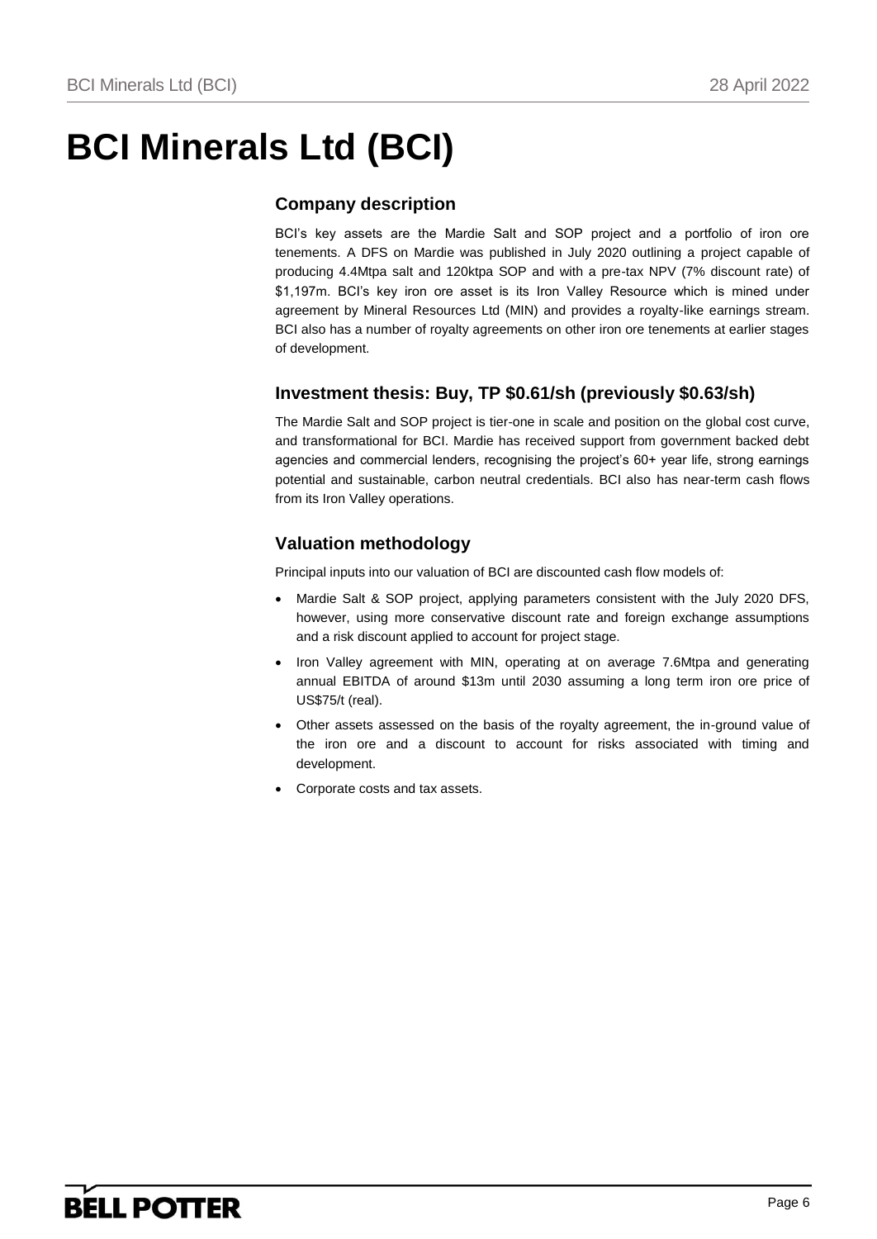# **BCI Minerals Ltd (BCI)**

### **Company description**

BCI's key assets are the Mardie Salt and SOP project and a portfolio of iron ore tenements. A DFS on Mardie was published in July 2020 outlining a project capable of producing 4.4Mtpa salt and 120ktpa SOP and with a pre-tax NPV (7% discount rate) of \$1,197m. BCI's key iron ore asset is its Iron Valley Resource which is mined under agreement by Mineral Resources Ltd (MIN) and provides a royalty-like earnings stream. BCI also has a number of royalty agreements on other iron ore tenements at earlier stages of development.

### **Investment thesis: Buy, TP \$0.61/sh (previously \$0.63/sh)**

The Mardie Salt and SOP project is tier-one in scale and position on the global cost curve, and transformational for BCI. Mardie has received support from government backed debt agencies and commercial lenders, recognising the project's 60+ year life, strong earnings potential and sustainable, carbon neutral credentials. BCI also has near-term cash flows from its Iron Valley operations.

### **Valuation methodology**

Principal inputs into our valuation of BCI are discounted cash flow models of:

- Mardie Salt & SOP project, applying parameters consistent with the July 2020 DFS, however, using more conservative discount rate and foreign exchange assumptions and a risk discount applied to account for project stage.
- Iron Valley agreement with MIN, operating at on average 7.6Mtpa and generating annual EBITDA of around \$13m until 2030 assuming a long term iron ore price of US\$75/t (real).
- Other assets assessed on the basis of the royalty agreement, the in-ground value of the iron ore and a discount to account for risks associated with timing and development.
- Corporate costs and tax assets.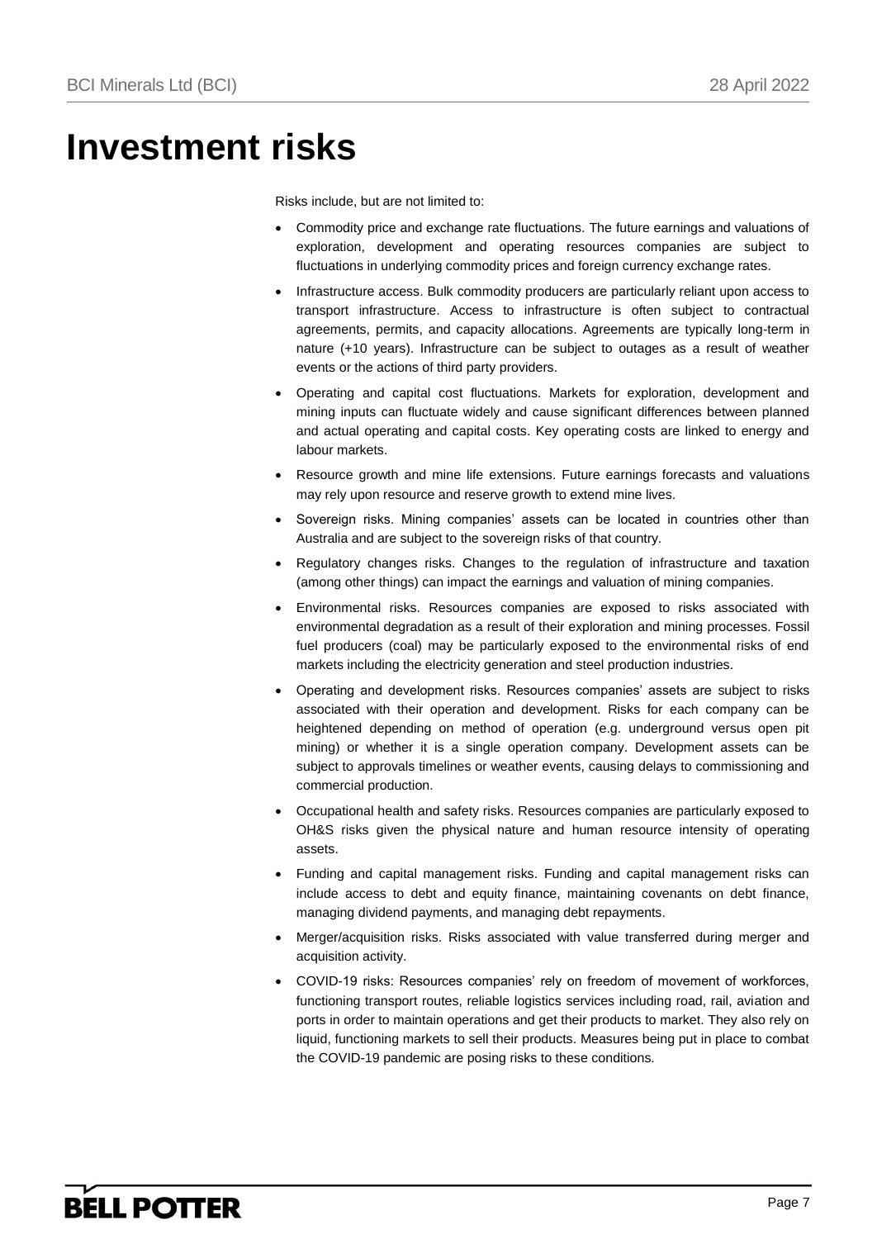## **Investment risks**

Risks include, but are not limited to:

- Commodity price and exchange rate fluctuations. The future earnings and valuations of exploration, development and operating resources companies are subject to fluctuations in underlying commodity prices and foreign currency exchange rates.
- Infrastructure access. Bulk commodity producers are particularly reliant upon access to transport infrastructure. Access to infrastructure is often subject to contractual agreements, permits, and capacity allocations. Agreements are typically long-term in nature (+10 years). Infrastructure can be subject to outages as a result of weather events or the actions of third party providers.
- Operating and capital cost fluctuations. Markets for exploration, development and mining inputs can fluctuate widely and cause significant differences between planned and actual operating and capital costs. Key operating costs are linked to energy and labour markets.
- Resource growth and mine life extensions. Future earnings forecasts and valuations may rely upon resource and reserve growth to extend mine lives.
- Sovereign risks. Mining companies' assets can be located in countries other than Australia and are subject to the sovereign risks of that country.
- Regulatory changes risks. Changes to the regulation of infrastructure and taxation (among other things) can impact the earnings and valuation of mining companies.
- Environmental risks. Resources companies are exposed to risks associated with environmental degradation as a result of their exploration and mining processes. Fossil fuel producers (coal) may be particularly exposed to the environmental risks of end markets including the electricity generation and steel production industries.
- Operating and development risks. Resources companies' assets are subject to risks associated with their operation and development. Risks for each company can be heightened depending on method of operation (e.g. underground versus open pit mining) or whether it is a single operation company. Development assets can be subject to approvals timelines or weather events, causing delays to commissioning and commercial production.
- Occupational health and safety risks. Resources companies are particularly exposed to OH&S risks given the physical nature and human resource intensity of operating assets.
- Funding and capital management risks. Funding and capital management risks can include access to debt and equity finance, maintaining covenants on debt finance, managing dividend payments, and managing debt repayments.
- Merger/acquisition risks. Risks associated with value transferred during merger and acquisition activity.
- COVID-19 risks: Resources companies' rely on freedom of movement of workforces, functioning transport routes, reliable logistics services including road, rail, aviation and ports in order to maintain operations and get their products to market. They also rely on liquid, functioning markets to sell their products. Measures being put in place to combat the COVID-19 pandemic are posing risks to these conditions.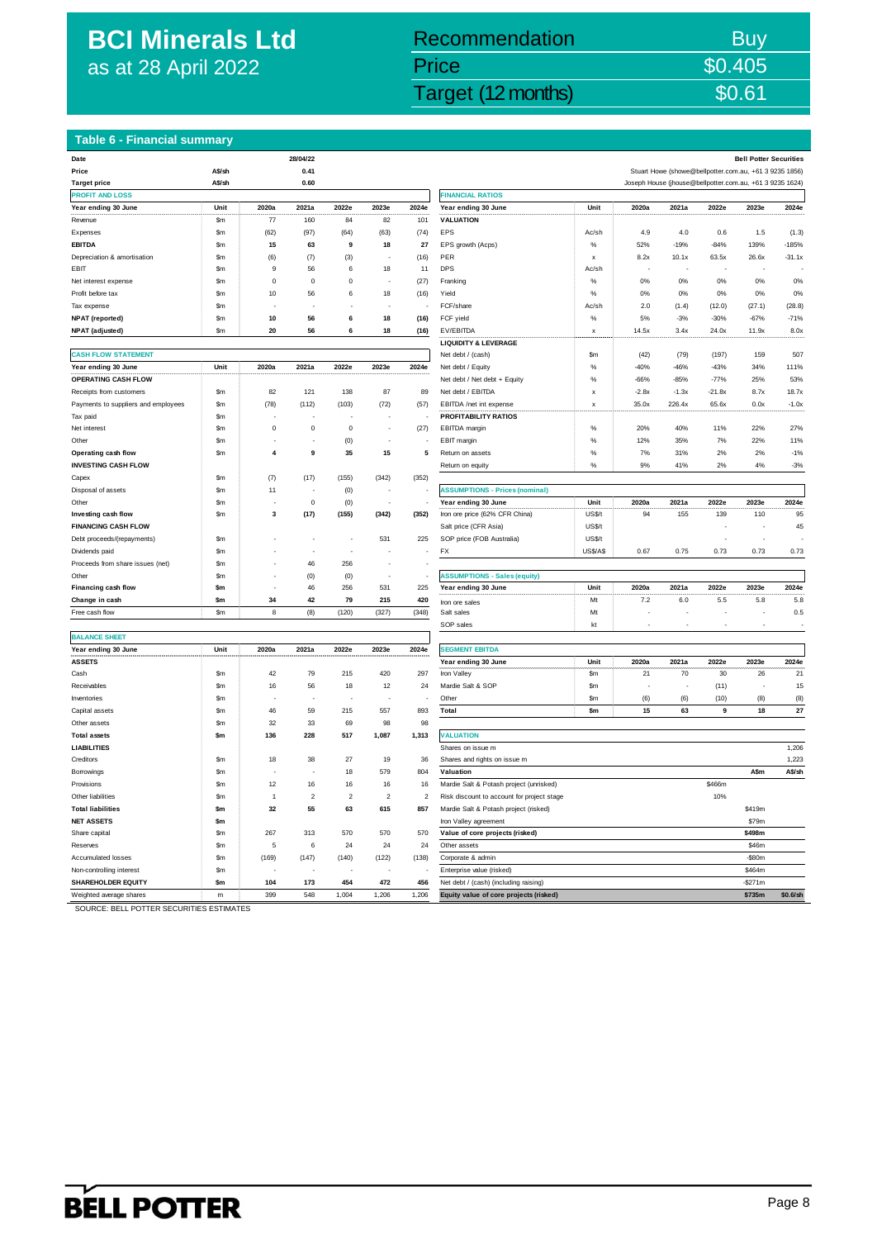## **BCI Minerals Ltd** as at 28 April 2022

## BCI Minerals Ltd (BCI) 28 April 2022 Target (12 months) \$0.61 April 2022 Target (12 months) \$0.61 April 2022 Recommendation Buy Price \$0.405

**Date 28/04/22 Bell Potter Securities**

#### **Table 6 - Financial summary**

| Date                                           |               |                | 28/04/22         |           |                |                |                                                                                 |               |         |         |                                                          | <b>Bell Potter Securities</b> |          |
|------------------------------------------------|---------------|----------------|------------------|-----------|----------------|----------------|---------------------------------------------------------------------------------|---------------|---------|---------|----------------------------------------------------------|-------------------------------|----------|
| Price                                          | A\$/sh        |                | 0.41             |           |                |                |                                                                                 |               |         |         | Stuart Howe (showe@bellpotter.com.au, +61 3 9235 1856)   |                               |          |
| <b>Target price</b>                            | A\$/sh        |                | 0.60             |           |                |                |                                                                                 |               |         |         | Joseph House (jhouse@bellpotter.com.au, +61 3 9235 1624) |                               |          |
| <b>PROFIT AND LOSS</b>                         |               |                |                  |           |                |                | <b>FINANCIAL RATIOS</b>                                                         |               |         |         |                                                          |                               |          |
| Year ending 30 June                            | Unit          | 2020a          | 2021a            | 2022e     | 2023e          | 2024e          | Year ending 30 June                                                             | Unit          | 2020a   | 2021a   | 2022e                                                    | 2023e                         | 2024e    |
| Revenue                                        | \$m           | 77             | 160              | 84        | 82             | 101            | <b>VALUATION</b>                                                                |               |         |         |                                                          |                               |          |
| Expenses                                       | \$m           | (62)           | (97)             | (64)      | (63)           | (74)           | EPS                                                                             | Ac/sh         | 4.9     | 4.0     | 0.6                                                      | 1.5                           | (1.3)    |
| <b>EBITDA</b>                                  | \$m           | 15             | 63               | 9         | 18             | 27             | EPS growth (Acps)                                                               | %             | 52%     | $-19%$  | $-84%$                                                   | 139%                          | $-185%$  |
| Depreciation & amortisation                    | \$m           | (6)            | (7)              | (3)       |                | (16)           | PER                                                                             | $\mathbf{x}$  | 8.2x    | 10.1x   | 63.5x                                                    | 26.6x                         | $-31.1x$ |
| EBIT                                           | \$m           | 9              | 56               | 6         | 18             | 11             | <b>DPS</b>                                                                      | Ac/sh         |         |         |                                                          |                               |          |
| Net interest expense                           | \$m           | $\Omega$       | $\,0\,$          | $\pmb{0}$ |                | (27)           | Franking                                                                        | $\%$          | 0%      | 0%      | 0%                                                       | 0%                            | 0%       |
| Profit before tax                              | \$m           | 10             | 56               | 6         | 18             | (16)           | Yield                                                                           | %             | 0%      | 0%      | 0%                                                       | 0%                            | 0%       |
| Tax expense                                    | <b>Sm</b>     |                |                  |           |                |                | FCF/share                                                                       | Ac/sh         | 2.0     | (1.4)   | (12.0)                                                   | (27.1)                        | (28.8)   |
| <b>NPAT</b> (reported)                         | \$m           | 10             | 56               | 6         | 18             | (16)           | FCF yield                                                                       | $\%$          | 5%      | $-3%$   | $-30%$                                                   | $-67%$                        | $-71%$   |
| <b>NPAT</b> (adjusted)                         | \$m           | 20             | 56               | 6         | 18             | (16)           | EV/EBITDA                                                                       | x             | 14.5x   | 3.4x    | 24.0x                                                    | 11.9x                         | 8.0x     |
|                                                |               |                |                  |           |                |                | <b>LIQUIDITY &amp; LEVERAGE</b>                                                 |               |         |         |                                                          |                               |          |
| <b>CASH FLOW STATEMENT</b>                     |               |                |                  |           |                |                | Net debt / (cash)                                                               | \$m           | (42)    | (79)    | (197)                                                    | 159                           | 507      |
| Year ending 30 June                            | Unit          | 2020a          | 2021a            | 2022e     | 2023e          | 2024e          | Net debt / Equity                                                               | $\%$          | $-40%$  | $-46%$  | $-43%$                                                   | 34%                           | 111%     |
| OPERATING CASH FLOW                            |               |                |                  |           |                |                | Net debt / Net debt + Equity                                                    | %             | $-66%$  | $-85%$  | $-77%$                                                   | 25%                           | 53%      |
| Receipts from customers                        | \$m           | 82             | $121$            | 138       | 87             | 89             | Net debt / EBITDA                                                               | X             | $-2.8x$ | $-1.3x$ | $-21.8x$                                                 | 8.7x                          | 18.7x    |
| Payments to suppliers and employees            | \$m           | (78)           | (112)            | (103)     | (72)           | (57)           | EBITDA /net int expense                                                         | X             | 35.0x   | 226.4x  | 65.6x                                                    | 0.0x                          | $-1.0x$  |
| Tax paid                                       | \$m           |                |                  |           |                |                | <b>PROFITABILITY RATIOS</b>                                                     |               |         |         |                                                          |                               |          |
| Net interest                                   | \$m           | $\mathbf 0$    | $\,0\,$          | $\pmb{0}$ | ÷,             | (27)           | EBITDA margin                                                                   | $\%$          | 20%     | 40%     | 11%                                                      | 22%                           | 27%      |
| Other                                          | <b>Sm</b>     |                |                  | (0)       |                |                | EBIT margin                                                                     | $\frac{9}{6}$ | 12%     | 35%     | 7%                                                       | 22%                           | 11%      |
| Operating cash flow                            | \$m           | 4              | $\boldsymbol{9}$ | 35        | 15             | 5              | Return on assets                                                                | %             | 7%      | 31%     | 2%                                                       | 2%                            | $-1%$    |
| <b>INVESTING CASH FLOW</b>                     |               |                |                  |           |                |                | Return on equity                                                                | $\%$          | 9%      | 41%     | 2%                                                       | 4%                            | $-3%$    |
| Capex                                          | <b>Sm</b>     | (7)            | (17)             | (155)     | (342)          | (352)          |                                                                                 |               |         |         |                                                          |                               |          |
| Disposal of assets                             | \$m           | 11             |                  | (0)       |                |                | <b>ASSUMPTIONS - Prices (nominal)</b>                                           |               |         |         |                                                          |                               |          |
| Other                                          | Sm            |                | $\mathsf 0$      | (0)       |                |                | Year ending 30 June                                                             | Unit          | 2020a   | 2021a   | 2022e                                                    | 2023e                         | 2024e    |
| Investing cash flow                            | \$m           | 3              | (17)             | (155)     | (342)          | (352)          | Iron ore price (62% CFR China)                                                  | US\$/t        | 94      | 155     | 139                                                      | 110                           | 95       |
| <b>FINANCING CASH FLOW</b>                     |               |                |                  |           |                |                | Salt price (CFR Asia)                                                           | US\$/t        |         |         |                                                          |                               | 45       |
| Debt proceeds/(repayments)                     | \$m           |                | J.               |           | 531            | 225            | SOP price (FOB Australia)                                                       | US\$/t        |         |         |                                                          |                               |          |
| Dividends paid                                 | \$m           |                |                  |           |                |                | FX                                                                              | US\$/A\$      | 0.67    | 0.75    | 0.73                                                     | 0.73                          | 0.73     |
| Proceeds from share issues (net)               | \$m           |                | 46               | 256       |                |                |                                                                                 |               |         |         |                                                          |                               |          |
| Other                                          | Sm            |                | (0)              | (0)       | ż              |                | <b>ASSUMPTIONS - Sales (equity)</b>                                             |               |         |         |                                                          |                               |          |
| Financing cash flow                            | \$m           |                | 46               | 256       | 531            | 225            | Year ending 30 June                                                             | Unit          | 2020a   | 2021a   | 2022e                                                    | 2023e                         | 2024e    |
| Change in cash                                 | $\mathsf{Sm}$ | 34             | 42               | 79        | 215            | 420            | Iron ore sales                                                                  | Mt            | 7.2     | 6.0     | 5.5                                                      | 5.8                           | 5.8      |
| Free cash flow                                 | <b>Sm</b>     | 8              | (8)              | (120)     | (327)          | (348)          | Salt sales                                                                      | Mt            |         |         |                                                          |                               | 0.5      |
|                                                |               |                |                  |           |                |                | SOP sales                                                                       | kt            |         |         |                                                          |                               |          |
| <b>BALANCE SHEET</b>                           |               |                |                  |           |                |                |                                                                                 |               |         |         |                                                          |                               |          |
| Year ending 30 June                            | Unit          | 2020a          | 2021a            | 2022e     | 2023e          | 2024e          | <b>SEGMENT EBITDA</b>                                                           |               |         |         |                                                          |                               |          |
| <b>ASSETS</b>                                  |               |                |                  |           |                |                | Year ending 30 June                                                             | Unit          | 2020a   | 2021a   | 2022e                                                    | 2023e                         | 2024e    |
| Cash                                           | \$m           | 42             | 79               | 215       | 420            | 297            | Iron Valley                                                                     | \$m           | 21      | 70      | 30                                                       | 26                            | 21       |
| Receivables                                    | \$m           | 16             | 56               | 18        | 12             | 24             | Mardie Salt & SOP                                                               | \$m           |         |         | (11)                                                     |                               | 15       |
| Inventories                                    | \$m           |                |                  |           |                |                | Other                                                                           | \$m           | (6)     | (6)     | (10)                                                     | (8)                           | (8)      |
| Capital assets                                 | \$m           | 46             | 59               | 215       | 557            | 893            | Total                                                                           | \$m           | 15      | 63      | 9                                                        | 18                            | 27       |
| Other assets                                   | \$m           | 32             | 33               | 69        | 98             | 98             |                                                                                 |               |         |         |                                                          |                               |          |
| <b>Total assets</b>                            | \$m           | 136            | 228              | 517       | 1,087          | 1,313          | <b>VALUATION</b>                                                                |               |         |         |                                                          |                               |          |
| <b>LIABILITIES</b>                             |               |                |                  |           |                |                | Shares on issue m                                                               |               |         |         |                                                          |                               | 1,206    |
| Creditors                                      | Sm            | 18             | 38               | 27        | 19             | 36             | Shares and rights on issue m                                                    |               |         |         |                                                          |                               | 1,223    |
| Borrowings                                     | Sm            |                |                  | 18        | 579            | 804            | Valuation                                                                       |               |         |         |                                                          | A\$m                          | A\$/sh   |
| Provisions                                     | \$m           | 12             | 16               | 16        | 16             | 16             | Mardie Salt & Potash project (unrisked)                                         |               |         |         | \$466m                                                   |                               |          |
| Other liabilities                              | \$m           | $\overline{1}$ | $\overline{a}$   | $\,2$     | $\overline{2}$ | $\overline{2}$ | Risk discount to account for project stage                                      |               |         |         | 10%                                                      |                               |          |
| <b>Total liabilities</b>                       | \$m           | 32             | 55               | 63        | 615            | 857            | Mardie Salt & Potash project (risked)                                           |               |         |         |                                                          | \$419m                        |          |
| <b>NET ASSETS</b>                              | \$m           |                |                  |           |                |                | Iron Valley agreement                                                           |               |         |         |                                                          | \$79m                         |          |
|                                                | <b>Sm</b>     | 267            | 313              | 570       | 570            | 570            | Value of core projects (risked)                                                 |               |         |         |                                                          | \$498m                        |          |
| Share capital<br>Reserves                      | \$m           | 5              | 6                | 24        | 24             | 24             | Other assets                                                                    |               |         |         |                                                          | \$46m                         |          |
|                                                | \$m           |                |                  |           |                |                |                                                                                 |               |         |         |                                                          | $-$ \$80m                     |          |
| Accumulated losses<br>Non-controlling interest | <b>Sm</b>     | (169)          | (147)            | (140)     | (122)          | (138)          | Corporate & admin<br>Enterprise value (risked)                                  |               |         |         |                                                          | \$464m                        |          |
| <b>SHAREHOLDER EQUITY</b>                      |               | 104            | 173              | 454       | 472            |                |                                                                                 |               |         |         |                                                          | $-$ \$271m                    |          |
| Weighted average shares                        | \$m<br>m      | 399            | 548              | 1.004     | 1.206          | 456<br>1,206   | Net debt / (cash) (including raising)<br>Equity value of core projects (risked) |               |         |         |                                                          | \$735m                        | \$0.6/sh |
|                                                |               |                |                  |           |                |                |                                                                                 |               |         |         |                                                          |                               |          |

| rnce                                | A3/30                                                      |                | <b>v.</b> 4      |                |                |                         |                                            |                           |         | Stuart Line (Strome @Deliporter corrigual +0.1 3 3233 1990) |                  |              |               |
|-------------------------------------|------------------------------------------------------------|----------------|------------------|----------------|----------------|-------------------------|--------------------------------------------|---------------------------|---------|-------------------------------------------------------------|------------------|--------------|---------------|
| Target price                        | A\$/sh                                                     |                | 0.60             |                |                |                         |                                            |                           |         | Joseph House (jhouse@bellpotter.com.au, +61 3 9235 1624)    |                  |              |               |
| <b>PROFIT AND LOSS</b>              |                                                            |                |                  |                |                |                         | <b>FINANCIAL RATIOS</b>                    |                           |         |                                                             |                  |              |               |
| Year ending 30 June                 | Unit                                                       | 2020a          | 2021a            | 2022e          | 2023e          | 2024e                   | Year ending 30 June                        | Unit                      | 2020a   | 2021a                                                       | 2022e            | 2023e        | 2024e         |
| Revenue                             | $\mathsf{Sm}% _{\mathsf{C}}^{\mathsf{C}}(\mathcal{N}_{0})$ | 77             | 160              | 84             | 82             | 101                     | <b>VALUATION</b>                           |                           |         |                                                             |                  |              |               |
| Expenses                            | \$m                                                        | (62)           | (97)             | (64)           | (63)           | (74)                    | EPS                                        | Ac/sh                     | 4.9     | 4.0                                                         | 0.6              | 1.5          | (1.3)         |
| EBITDA                              | \$m                                                        | 15             | 63               | 9              | 18             | 27                      | EPS growth (Acps)                          | $\%$                      | 52%     | $-19%$                                                      | $-84%$           | 139%         | $-185%$       |
| Depreciation & amortisation         | \$m                                                        | (6)            | (7)              | (3)            |                | (16)                    | PER                                        | $\mathsf{x}$              | 8.2x    | 10.1x                                                       | 63.5x            | 26.6x        | $-31.1x$      |
| EBIT                                | <b>Sm</b>                                                  | 9              | 56               | 6              | 18             | 11                      | <b>DPS</b>                                 | Ac/sh                     |         |                                                             |                  |              |               |
| Net interest expense                | <b>Sm</b>                                                  | $\mathbf 0$    | $\mathbf 0$      | $\mathbf 0$    | ÷,             | (27)                    | Franking                                   | $\%$                      | 0%      | 0%                                                          | 0%               | 0%           | 0%            |
| Profit before tax                   | \$m                                                        | 10             | 56               | 6              | 18             | (16)                    | Yield                                      | $\%$                      | 0%      | 0%                                                          | 0%               | 0%           | 0%            |
| Tax expense                         | \$m                                                        |                |                  |                |                |                         | FCF/share                                  | Ac/sh                     | 2.0     | (1.4)                                                       | (12.0)           | (27.1)       | (28.8)        |
| <b>NPAT</b> (reported)              | \$m                                                        | 10             | 56               | 6              | 18             | (16)                    | FCF yield                                  | $\%$                      | 5%      | $-3%$                                                       | $-30%$           | $-67%$       | $-71%$        |
| <b>NPAT</b> (adjusted)              | \$m                                                        | 20             | 56               | 6              | 18             | (16)                    | EV/EBITDA                                  | $\boldsymbol{\mathsf{x}}$ | 14.5x   | 3.4x                                                        | 24.0x            | 11.9x        | 8.0x          |
|                                     |                                                            |                |                  |                |                |                         | <b>LIQUIDITY &amp; LEVERAGE</b>            |                           |         |                                                             |                  |              |               |
| <b>CASH FLOW STATEMENT</b>          |                                                            |                |                  |                |                |                         | Net debt / (cash)                          | \$m                       | (42)    | (79)                                                        | (197)            | 159          | 507           |
| Year ending 30 June                 | Unit                                                       | 2020a          | 2021a            | 2022e          | 2023e          | 2024e                   | Net debt / Equity                          | $\%$                      | $-40%$  | $-46%$                                                      | $-43%$           | 34%          | 111%          |
| <b>OPERATING CASH FLOW</b>          |                                                            |                |                  |                |                |                         | Net debt / Net debt + Equity               | $\%$                      | $-66%$  | $-85%$                                                      | $-77%$           | 25%          | 53%           |
| Receipts from customers             | \$m                                                        | 82             | 121              | 138            | 87             | 89                      | Net debt / EBITDA                          | x                         | $-2.8x$ | $-1.3x$                                                     | $-21.8x$         | 8.7x         | 18.7x         |
| Payments to suppliers and employees | \$m                                                        | (78)           | (112)            | (103)          | (72)           | (57)                    | EBITDA /net int expense                    | $\mathsf{x}$              | 35.0x   | 226.4x                                                      | 65.6x            | 0.0x         | $-1.0x$       |
| Tax paid                            | <b>Sm</b>                                                  |                |                  |                |                |                         | <b>PROFITABILITY RATIOS</b>                |                           |         |                                                             |                  |              |               |
| Net interest                        | \$m                                                        | $\mathbf 0$    | $\mathbf 0$      | $\mathsf 0$    | ÷,             | (27)                    | EBITDA margin                              | $\%$                      | 20%     | 40%                                                         | 11%              | 22%          | 27%           |
| Other                               | \$m                                                        |                |                  | (0)            |                |                         | EBIT margin                                | $\%$                      | 12%     | 35%                                                         | 7%               | 22%          | 11%           |
| Operating cash flow                 | <b>Sm</b>                                                  | $\pmb{4}$      | $\boldsymbol{9}$ | 35             | 15             | 5                       | Return on assets                           | $\%$                      | 7%      | 31%                                                         | 2%               | 2%           | $-1%$         |
| <b>INVESTING CASH FLOW</b>          |                                                            |                |                  |                |                |                         | Return on equity                           | $\%$                      | 9%      | 41%                                                         | 2%               | 4%           | $-3%$         |
| Capex                               | Sm                                                         | (7)            | (17)             | (155)          | (342)          | (352)                   |                                            |                           |         |                                                             |                  |              |               |
| Disposal of assets                  | Sm                                                         | 11             |                  | (0)            |                |                         | <b>ASSUMPTIONS - Prices (nominal)</b>      |                           |         |                                                             |                  |              |               |
| Other                               | \$m                                                        |                | $\,0\,$          | (0)            | $\sim$         |                         | Year ending 30 June                        | Unit                      | 2020a   | 2021a                                                       | 2022e            | 2023e        | 2024e         |
| Investing cash flow                 | <b>Sm</b>                                                  | 3              | (17)             | (155)          | (342)          | (352)                   | Iron ore price (62% CFR China)             | US\$/t                    | 94      | 155                                                         | 139              | 110          | 95            |
| <b>FINANCING CASH FLOW</b>          |                                                            |                |                  |                |                |                         | Salt price (CFR Asia)                      | US\$/t                    |         |                                                             |                  |              | 45            |
| Debt proceeds/(repayments)          | <b>Sm</b>                                                  |                | ÷,               | ÷              | 531            | 225                     | SOP price (FOB Australia)                  | US\$/t                    |         |                                                             |                  | J.           |               |
| Dividends paid                      | <b>Sm</b>                                                  |                | ÷.               | ÷.             |                |                         | FX                                         | US\$/A\$                  | 0.67    | 0.75                                                        | 0.73             | 0.73         | 0.73          |
| Proceeds from share issues (net)    | <b>Sm</b>                                                  |                | 46               | 256            | ÷,             |                         |                                            |                           |         |                                                             |                  |              |               |
| Other                               | Sm                                                         |                | (0)              | (0)            |                |                         | <b>ASSUMPTIONS - Sales (equity)</b>        |                           |         |                                                             |                  |              |               |
| <b>Financing cash flow</b>          | \$m                                                        |                | 46               | 256            | 531            | 225                     | Year ending 30 June                        | Unit                      | 2020a   | 2021a                                                       | 2022e            | 2023e        | 2024e         |
| Change in cash                      | \$m                                                        | 34             | 42               | 79             | 215            | 420                     |                                            | Mt                        | 7.2     | 6.0                                                         | 5.5              | 5.8          | $5.8\,$       |
| Free cash flow                      | \$m                                                        | 8              | (8)              | (120)          | (327)          | (348)                   | Iron ore sales<br>Salt sales               | Mt                        |         |                                                             |                  |              | 0.5           |
|                                     |                                                            |                |                  |                |                |                         | SOP sales                                  | kt                        |         |                                                             |                  |              |               |
| <b>BALANCE SHEET</b>                |                                                            |                |                  |                |                |                         |                                            |                           |         |                                                             |                  |              |               |
| Year ending 30 June                 | Unit                                                       | 2020a          | 2021a            | 2022e          | 2023e          | 2024e                   | <b>SEGMENT EBITDA</b>                      |                           |         |                                                             |                  |              |               |
| <b>ASSETS</b>                       |                                                            |                |                  |                |                |                         | Year ending 30 June                        | Unit                      | 2020a   | 2021a                                                       | 2022e            | 2023e        | 2024e         |
| Cash                                | <b>Sm</b>                                                  | 42             | 79               | 215            | 420            | 297                     | Iron Valley                                | <b>Sm</b>                 | 21      | 70                                                          | 30               | 26           | 21            |
|                                     |                                                            | 16             | 56               | $18\,$         | $12\,$         | 24                      | Mardie Salt & SOP                          |                           |         |                                                             | (11)             |              | 15            |
| Receivables<br>Inventories          | \$m<br><b>Sm</b>                                           |                | ż.               | ż.             | ÷.             |                         | Other                                      | \$m<br><b>Sm</b>          | (6)     | (6)                                                         | (10)             | (8)          | (8)           |
|                                     | \$m                                                        | 46             | 59               | 215            | 557            | 893                     | Total                                      | \$m                       | 15      | 63                                                          | $\boldsymbol{9}$ | 18           | $\mathbf{27}$ |
| Capital assets<br>Other assets      | <b>Sm</b>                                                  | 32             | 33               | 69             | 98             | 98                      |                                            |                           |         |                                                             |                  |              |               |
|                                     | $\mathsf{sm}$                                              |                | 228              | 517            |                |                         | <b>VALUATION</b>                           |                           |         |                                                             |                  |              |               |
| <b>Total assets</b>                 |                                                            | 136            |                  |                | 1,087          | 1,313                   | Shares on issue m                          |                           |         |                                                             |                  |              |               |
| <b>LIABILITIES</b>                  |                                                            |                |                  |                |                |                         |                                            |                           |         |                                                             |                  |              | 1,206         |
| Creditors                           | \$m                                                        | 18             | 38               | 27             | 19             | 36                      | Shares and rights on issue m               |                           |         |                                                             |                  |              | 1,223         |
| Borrowings                          | <b>Sm</b>                                                  |                |                  | 18             | 579            | 804                     | Valuation                                  |                           |         |                                                             |                  | A\$m         | A\$/sh        |
| Provisions                          | <b>Sm</b>                                                  | 12             | 16               | 16             | 16             | 16                      | Mardie Salt & Potash project (unrisked)    |                           |         |                                                             | \$466m           |              |               |
| Other liabilities                   | <b>Sm</b>                                                  | $\overline{1}$ | $\overline{2}$   | $\overline{2}$ | $\overline{2}$ | $\overline{\mathbf{c}}$ | Risk discount to account for project stage |                           |         |                                                             | 10%              |              |               |
| <b>Total liabilities</b>            | <b>Sm</b>                                                  | 32             | 55               | 63             | 615            | 857                     | Mardie Salt & Potash project (risked)      |                           |         |                                                             |                  | \$419m       |               |
| <b>NET ASSETS</b>                   | \$m                                                        |                |                  |                |                |                         | Iron Valley agreement                      |                           |         |                                                             |                  | \$79m        |               |
| Share capital                       | <b>Sm</b>                                                  | 267            | 313              | 570            | 570            | 570                     | Value of core projects (risked)            |                           |         |                                                             |                  | \$498m       |               |
| Reserves                            | \$m                                                        | 5              | 6                | 24             | 24             | 24                      | Other assets                               |                           |         |                                                             |                  | \$46m        |               |
| Accumulated losses                  | \$m                                                        | (169)          | (147)            | (140)          | (122)          | (138)                   | Corporate & admin                          |                           |         |                                                             |                  | $-$ \$80 $m$ |               |
| Non-controlling interest            | \$m                                                        |                |                  |                |                |                         | Enterprise value (risked)                  |                           |         |                                                             |                  | \$464m       |               |
| SHAREHOLDER EQUITY                  | \$m                                                        | 104            | 173              | 454            | 472            | 456                     | Net debt / (cash) (including raising)      |                           |         |                                                             |                  | $-$271m$     |               |
|                                     |                                                            |                |                  |                |                |                         |                                            |                           |         |                                                             |                  |              | $20.01 - 1$   |

SOURCE: BELL POTTER SECURITIES ESTIMATES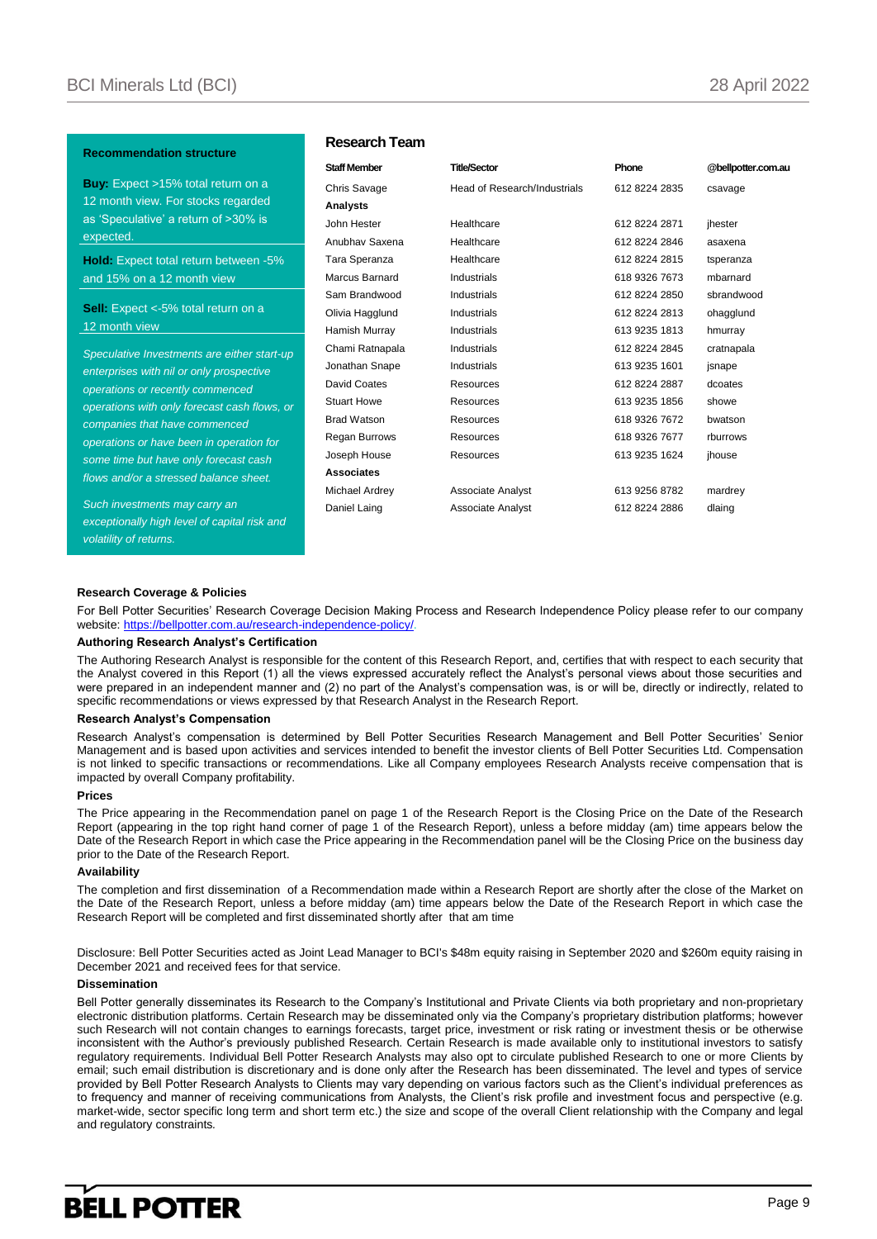#### **Recommendation structure**

**Buy:** Expect >15% total return on a 12 month view. For stocks regarded as 'Speculative' a return of >30% is expected.

**Hold:** Expect total return between -5% and 15% on a 12 month view

**Sell:** Expect <-5% total return on a 12 month view

*Speculative Investments are either start-up enterprises with nil or only prospective operations or recently commenced operations with only forecast cash flows, or companies that have commenced operations or have been in operation for some time but have only forecast cash flows and/or a stressed balance sheet.*

*Such investments may carry an exceptionally high level of capital risk and volatility of returns.* 

#### **Research Team**

| <b>Staff Member</b> | <b>Title/Sector</b>          | Phone         | @bellpotter.com.au |
|---------------------|------------------------------|---------------|--------------------|
| Chris Savage        | Head of Research/Industrials | 612 8224 2835 | csavage            |
| Analysts            |                              |               |                    |
| John Hester         | Healthcare                   | 612 8224 2871 | jhester            |
| Anubhay Saxena      | Healthcare                   | 612 8224 2846 | asaxena            |
| Tara Speranza       | Healthcare                   | 612 8224 2815 | tsperanza          |
| Marcus Barnard      | Industrials                  | 618 9326 7673 | mbarnard           |
| Sam Brandwood       | Industrials                  | 612 8224 2850 | sbrandwood         |
| Olivia Hagglund     | Industrials                  | 612 8224 2813 | ohagglund          |
| Hamish Murray       | Industrials                  | 613 9235 1813 | hmurray            |
| Chami Ratnapala     | Industrials                  | 612 8224 2845 | cratnapala         |
| Jonathan Snape      | Industrials                  | 613 9235 1601 | jsnape             |
| David Coates        | Resources                    | 612 8224 2887 | dcoates            |
| <b>Stuart Howe</b>  | Resources                    | 613 9235 1856 | showe              |
| <b>Brad Watson</b>  | <b>Resources</b>             | 618 9326 7672 | bwatson            |
| Regan Burrows       | Resources                    | 618 9326 7677 | rburrows           |
| Joseph House        | Resources                    | 613 9235 1624 | jhouse             |
| <b>Associates</b>   |                              |               |                    |
| Michael Ardrey      | Associate Analyst            | 613 9256 8782 | mardrey            |
| Daniel Laing        | <b>Associate Analyst</b>     | 612 8224 2886 | dlaing             |
|                     |                              |               |                    |

#### **Research Coverage & Policies**

For Bell Potter Securities' Research Coverage Decision Making Process and Research Independence Policy please refer to our company website: https://bellpotter.com.au/research-independence-policy/

#### **Authoring Research Analyst's Certification**

The Authoring Research Analyst is responsible for the content of this Research Report, and, certifies that with respect to each security that the Analyst covered in this Report (1) all the views expressed accurately reflect the Analyst's personal views about those securities and were prepared in an independent manner and (2) no part of the Analyst's compensation was, is or will be, directly or indirectly, related to specific recommendations or views expressed by that Research Analyst in the Research Report.

#### **Research Analyst's Compensation**

Research Analyst's compensation is determined by Bell Potter Securities Research Management and Bell Potter Securities' Senior Management and is based upon activities and services intended to benefit the investor clients of Bell Potter Securities Ltd. Compensation is not linked to specific transactions or recommendations. Like all Company employees Research Analysts receive compensation that is impacted by overall Company profitability.

#### **Prices**

The Price appearing in the Recommendation panel on page 1 of the Research Report is the Closing Price on the Date of the Research Report (appearing in the top right hand corner of page 1 of the Research Report), unless a before midday (am) time appears below the Date of the Research Report in which case the Price appearing in the Recommendation panel will be the Closing Price on the business day prior to the Date of the Research Report.

#### **Availability**

The completion and first dissemination of a Recommendation made within a Research Report are shortly after the close of the Market on the Date of the Research Report, unless a before midday (am) time appears below the Date of the Research Report in which case the Research Report will be completed and first disseminated shortly after that am time

Disclosure: Bell Potter Securities acted as Joint Lead Manager to BCI's \$48m equity raising in September 2020 and \$260m equity raising in December 2021 and received fees for that service.

#### **Dissemination**

Bell Potter generally disseminates its Research to the Company's Institutional and Private Clients via both proprietary and non-proprietary electronic distribution platforms. Certain Research may be disseminated only via the Company's proprietary distribution platforms; however such Research will not contain changes to earnings forecasts, target price, investment or risk rating or investment thesis or be otherwise inconsistent with the Author's previously published Research. Certain Research is made available only to institutional investors to satisfy regulatory requirements. Individual Bell Potter Research Analysts may also opt to circulate published Research to one or more Clients by email; such email distribution is discretionary and is done only after the Research has been disseminated. The level and types of service provided by Bell Potter Research Analysts to Clients may vary depending on various factors such as the Client's individual preferences as to frequency and manner of receiving communications from Analysts, the Client's risk profile and investment focus and perspective (e.g. market-wide, sector specific long term and short term etc.) the size and scope of the overall Client relationship with the Company and legal and regulatory constraints*.*